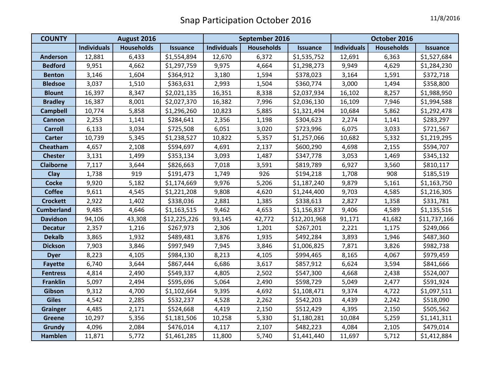| <b>COUNTY</b>     | August 2016        |                   |                 | September 2016     |                   |                 | October 2016       |                   |                 |
|-------------------|--------------------|-------------------|-----------------|--------------------|-------------------|-----------------|--------------------|-------------------|-----------------|
|                   | <b>Individuals</b> | <b>Households</b> | <b>Issuance</b> | <b>Individuals</b> | <b>Households</b> | <b>Issuance</b> | <b>Individuals</b> | <b>Households</b> | <b>Issuance</b> |
| <b>Anderson</b>   | 12,881             | 6,433             | \$1,554,894     | 12,670             | 6,372             | \$1,535,752     | 12,691             | 6,363             | \$1,527,684     |
| <b>Bedford</b>    | 9,951              | 4,662             | \$1,297,759     | 9,975              | 4,664             | \$1,298,273     | 9,949              | 4,629             | \$1,284,230     |
| <b>Benton</b>     | 3,146              | 1,604             | \$364,912       | 3,180              | 1,594             | \$378,023       | 3,164              | 1,591             | \$372,718       |
| <b>Bledsoe</b>    | 3,037              | 1,510             | \$363,631       | 2,993              | 1,504             | \$360,774       | 3,000              | 1,494             | \$358,800       |
| <b>Blount</b>     | 16,397             | 8,347             | \$2,021,135     | 16,351             | 8,338             | \$2,037,934     | 16,102             | 8,257             | \$1,988,950     |
| <b>Bradley</b>    | 16,387             | 8,001             | \$2,027,370     | 16,382             | 7,996             | \$2,036,130     | 16,109             | 7,946             | \$1,994,588     |
| <b>Campbell</b>   | 10,774             | 5,858             | \$1,296,260     | 10,823             | 5,885             | \$1,321,494     | 10,684             | 5,862             | \$1,292,478     |
| <b>Cannon</b>     | 2,253              | 1,141             | \$284,641       | 2,356              | 1,198             | \$304,623       | 2,274              | 1,141             | \$283,297       |
| <b>Carroll</b>    | 6,133              | 3,034             | \$725,508       | 6,051              | 3,020             | \$723,996       | 6,075              | 3,033             | \$721,567       |
| <b>Carter</b>     | 10,739             | 5,345             | \$1,238,527     | 10,822             | 5,357             | \$1,257,066     | 10,682             | 5,332             | \$1,219,295     |
| Cheatham          | 4,657              | 2,108             | \$594,697       | 4,691              | 2,137             | \$600,290       | 4,698              | 2,155             | \$594,707       |
| <b>Chester</b>    | 3,131              | 1,499             | \$353,134       | 3,093              | 1,487             | \$347,778       | 3,053              | 1,469             | \$345,132       |
| <b>Claiborne</b>  | 7,117              | 3,644             | \$826,663       | 7,018              | 3,591             | \$819,789       | 6,927              | 3,560             | \$810,117       |
| Clay              | 1,738              | 919               | \$191,473       | 1,749              | 926               | \$194,218       | 1,708              | 908               | \$185,519       |
| <b>Cocke</b>      | 9,920              | 5,182             | \$1,174,669     | 9,976              | 5,206             | \$1,187,240     | 9,879              | 5,161             | \$1,163,750     |
| <b>Coffee</b>     | 9,611              | 4,545             | \$1,221,208     | 9,808              | 4,620             | \$1,244,400     | 9,703              | 4,585             | \$1,216,305     |
| <b>Crockett</b>   | 2,922              | 1,402             | \$338,036       | 2,881              | 1,385             | \$338,613       | 2,827              | 1,358             | \$331,781       |
| <b>Cumberland</b> | 9,485              | 4,646             | \$1,163,515     | 9,462              | 4,653             | \$1,156,837     | 9,406              | 4,589             | \$1,135,516     |
| <b>Davidson</b>   | 94,106             | 43,308            | \$12,225,226    | 93,145             | 42,772            | \$12,201,968    | 91,171             | 41,682            | \$11,737,166    |
| <b>Decatur</b>    | 2,357              | 1,216             | \$267,973       | 2,306              | 1,201             | \$267,201       | 2,221              | 1,175             | \$249,066       |
| <b>Dekalb</b>     | 3,865              | 1,932             | \$489,481       | 3,876              | 1,935             | \$492,284       | 3,893              | 1,946             | \$487,360       |
| <b>Dickson</b>    | 7,903              | 3,846             | \$997,949       | 7,945              | 3,846             | \$1,006,825     | 7,871              | 3,826             | \$982,738       |
| <b>Dyer</b>       | 8,223              | 4,105             | \$984,130       | 8,213              | 4,105             | \$994,465       | 8,165              | 4,067             | \$979,459       |
| <b>Fayette</b>    | 6,740              | 3,644             | \$867,444       | 6,686              | 3,617             | \$857,912       | 6,624              | 3,594             | \$841,666       |
| <b>Fentress</b>   | 4,814              | 2,490             | \$549,337       | 4,805              | 2,502             | \$547,300       | 4,668              | 2,438             | \$524,007       |
| <b>Franklin</b>   | 5,097              | 2,494             | \$595,696       | 5,064              | 2,490             | \$598,729       | 5,049              | 2,477             | \$591,924       |
| Gibson            | 9,312              | 4,700             | \$1,102,664     | 9,395              | 4,692             | \$1,108,471     | 9,374              | 4,722             | \$1,097,511     |
| <b>Giles</b>      | 4,542              | 2,285             | \$532,237       | 4,528              | 2,262             | \$542,203       | 4,439              | 2,242             | \$518,090       |
| <b>Grainger</b>   | 4,485              | 2,171             | \$524,668       | 4,419              | 2,150             | \$512,429       | 4,395              | 2,150             | \$505,562       |
| <b>Greene</b>     | 10,297             | 5,356             | \$1,181,506     | 10,258             | 5,330             | \$1,180,281     | 10,084             | 5,259             | \$1,141,311     |
| Grundy            | 4,096              | 2,084             | \$476,014       | 4,117              | 2,107             | \$482,223       | 4,084              | 2,105             | \$479,014       |
| Hamblen           | 11,871             | 5,772             | \$1,461,285     | 11,800             | 5,740             | \$1,441,440     | 11,697             | 5,712             | \$1,412,884     |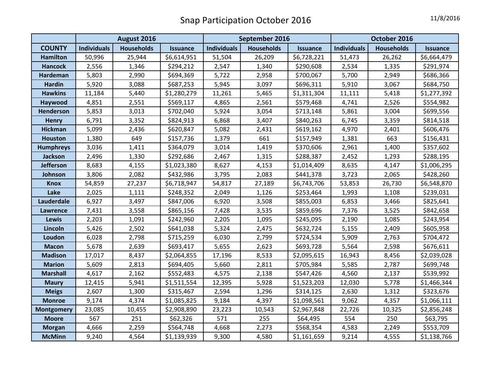|                   | August 2016        |                   |                 | September 2016     |                   |                 | October 2016       |                   |                 |
|-------------------|--------------------|-------------------|-----------------|--------------------|-------------------|-----------------|--------------------|-------------------|-----------------|
| <b>COUNTY</b>     | <b>Individuals</b> | <b>Households</b> | <b>Issuance</b> | <b>Individuals</b> | <b>Households</b> | <b>Issuance</b> | <b>Individuals</b> | <b>Households</b> | <b>Issuance</b> |
| <b>Hamilton</b>   | 50,996             | 25,944            | \$6,614,951     | 51,504             | 26,209            | \$6,728,221     | 51,473             | 26,262            | \$6,664,479     |
| <b>Hancock</b>    | 2,556              | 1,346             | \$294,212       | 2,547              | 1,340             | \$290,608       | 2,534              | 1,335             | \$291,974       |
| Hardeman          | 5,803              | 2,990             | \$694,369       | 5,722              | 2,958             | \$700,067       | 5,700              | 2,949             | \$686,366       |
| <b>Hardin</b>     | 5,920              | 3,088             | \$687,253       | 5,945              | 3,097             | \$696,311       | 5,910              | 3,067             | \$684,750       |
| <b>Hawkins</b>    | 11,184             | 5,440             | \$1,280,279     | 11,261             | 5,465             | \$1,311,304     | 11,111             | 5,418             | \$1,277,392     |
| Haywood           | 4,851              | 2,551             | \$569,117       | 4,865              | 2,561             | \$579,468       | 4,741              | 2,526             | \$554,982       |
| Henderson         | 5,853              | 3,013             | \$702,040       | 5,924              | 3,054             | \$713,148       | 5,861              | 3,004             | \$699,556       |
| <b>Henry</b>      | 6,791              | 3,352             | \$824,913       | 6,868              | 3,407             | \$840,263       | 6,745              | 3,359             | \$814,518       |
| <b>Hickman</b>    | 5,099              | 2,436             | \$620,847       | 5,082              | 2,431             | \$619,162       | 4,970              | 2,401             | \$606,476       |
| Houston           | 1,380              | 649               | \$157,736       | 1,379              | 661               | \$157,949       | 1,381              | 663               | \$156,431       |
| <b>Humphreys</b>  | 3,036              | 1,411             | \$364,079       | 3,014              | 1,419             | \$370,606       | 2,961              | 1,400             | \$357,602       |
| <b>Jackson</b>    | 2,496              | 1,330             | \$292,686       | 2,467              | 1,315             | \$288,387       | 2,452              | 1,293             | \$288,195       |
| <b>Jefferson</b>  | 8,683              | 4,155             | \$1,023,380     | 8,627              | 4,153             | \$1,014,409     | 8,635              | 4,147             | \$1,006,295     |
| Johnson           | 3,806              | 2,082             | \$432,986       | 3,795              | 2,083             | \$441,378       | 3,723              | 2,065             | \$428,260       |
| <b>Knox</b>       | 54,859             | 27,237            | \$6,718,947     | 54,817             | 27,189            | \$6,743,706     | 53,853             | 26,730            | \$6,548,870     |
| Lake              | 2,025              | 1,111             | \$248,352       | 2,049              | 1,126             | \$253,464       | 1,993              | 1,108             | \$239,031       |
| Lauderdale        | 6,927              | 3,497             | \$847,006       | 6,920              | 3,508             | \$855,003       | 6,853              | 3,466             | \$825,641       |
| Lawrence          | 7,431              | 3,558             | \$865,156       | 7,428              | 3,535             | \$859,696       | 7,376              | 3,525             | \$842,658       |
| <b>Lewis</b>      | 2,203              | 1,091             | \$242,960       | 2,205              | 1,095             | \$245,095       | 2,190              | 1,085             | \$243,954       |
| Lincoln           | 5,426              | 2,502             | \$641,038       | 5,324              | 2,475             | \$632,724       | 5,155              | 2,409             | \$605,958       |
| Loudon            | 6,028              | 2,798             | \$715,259       | 6,030              | 2,799             | \$724,534       | 5,909              | 2,763             | \$704,472       |
| <b>Macon</b>      | 5,678              | 2,639             | \$693,417       | 5,655              | 2,623             | \$693,728       | 5,564              | 2,598             | \$676,611       |
| <b>Madison</b>    | 17,017             | 8,437             | \$2,064,855     | 17,196             | 8,533             | \$2,095,615     | 16,943             | 8,456             | \$2,039,028     |
| <b>Marion</b>     | 5,609              | 2,813             | \$694,405       | 5,660              | 2,811             | \$705,984       | 5,585              | 2,787             | \$699,748       |
| <b>Marshall</b>   | 4,617              | 2,162             | \$552,483       | 4,575              | 2,138             | \$547,426       | 4,560              | 2,137             | \$539,992       |
| <b>Maury</b>      | 12,415             | 5,941             | \$1,511,554     | 12,395             | 5,928             | \$1,523,203     | 12,030             | 5,778             | \$1,466,344     |
| <b>Meigs</b>      | 2,607              | 1,300             | \$315,467       | 2,594              | 1,296             | \$314,125       | 2,630              | 1,312             | \$323,676       |
| <b>Monroe</b>     | 9,174              | 4,374             | \$1,085,825     | 9,184              | 4,397             | \$1,098,561     | 9,062              | 4,357             | \$1,066,111     |
| <b>Montgomery</b> | 23,085             | 10,455            | \$2,908,890     | 23,223             | 10,543            | \$2,967,848     | 22,726             | 10,325            | \$2,856,248     |
| <b>Moore</b>      | 567                | 251               | \$62,326        | 571                | 255               | \$64,495        | 554                | 250               | \$63,795        |
| <b>Morgan</b>     | 4,666              | 2,259             | \$564,748       | 4,668              | 2,273             | \$568,354       | 4,583              | 2,249             | \$553,709       |
| <b>McMinn</b>     | 9,240              | 4,564             | \$1,139,939     | 9,300              | 4,580             | \$1,161,659     | 9,214              | 4,555             | \$1,138,766     |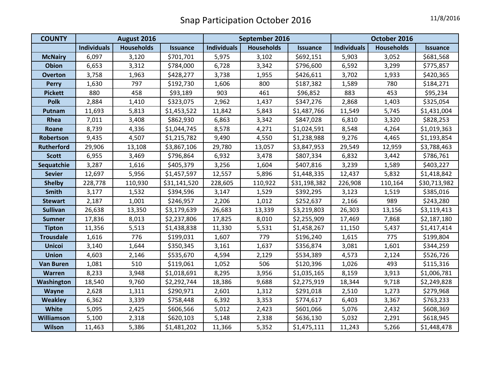| <b>COUNTY</b>     | August 2016        |                   |                 | September 2016     |                   |                 | October 2016       |                   |                 |
|-------------------|--------------------|-------------------|-----------------|--------------------|-------------------|-----------------|--------------------|-------------------|-----------------|
|                   | <b>Individuals</b> | <b>Households</b> | <b>Issuance</b> | <b>Individuals</b> | <b>Households</b> | <b>Issuance</b> | <b>Individuals</b> | <b>Households</b> | <b>Issuance</b> |
| <b>McNairy</b>    | 6,097              | 3,120             | \$701,701       | 5,975              | 3,102             | \$692,151       | 5,903              | 3,052             | \$681,568       |
| <b>Obion</b>      | 6,653              | 3,312             | \$784,000       | 6,728              | 3,342             | \$796,600       | 6,592              | 3,299             | \$775,857       |
| <b>Overton</b>    | 3,758              | 1,963             | \$428,277       | 3,738              | 1,955             | \$426,611       | 3,702              | 1,933             | \$420,365       |
| <b>Perry</b>      | 1,630              | 797               | \$192,730       | 1,606              | 800               | \$187,382       | 1,589              | 780               | \$184,271       |
| <b>Pickett</b>    | 880                | 458               | \$93,189        | 903                | 461               | \$96,852        | 883                | 453               | \$95,234        |
| <b>Polk</b>       | 2,884              | 1,410             | \$323,075       | 2,962              | 1,437             | \$347,276       | 2,868              | 1,403             | \$325,054       |
| Putnam            | 11,693             | 5,813             | \$1,453,522     | 11,842             | 5,843             | \$1,487,766     | 11,549             | 5,745             | \$1,431,004     |
| Rhea              | 7,011              | 3,408             | \$862,930       | 6,863              | 3,342             | \$847,028       | 6,810              | 3,320             | \$828,253       |
| Roane             | 8,739              | 4,336             | \$1,044,745     | 8,578              | 4,271             | \$1,024,591     | 8,548              | 4,264             | \$1,019,363     |
| Robertson         | 9,435              | 4,507             | \$1,215,782     | 9,490              | 4,550             | \$1,238,988     | 9,276              | 4,465             | \$1,193,854     |
| <b>Rutherford</b> | 29,906             | 13,108            | \$3,867,106     | 29,780             | 13,057            | \$3,847,953     | 29,549             | 12,959            | \$3,788,463     |
| <b>Scott</b>      | 6,955              | 3,469             | \$796,864       | 6,932              | 3,478             | \$807,334       | 6,832              | 3,442             | \$786,761       |
| Sequatchie        | 3,287              | 1,616             | \$405,379       | 3,256              | 1,604             | \$407,816       | 3,239              | 1,589             | \$403,227       |
| <b>Sevier</b>     | 12,697             | 5,956             | \$1,457,597     | 12,557             | 5,896             | \$1,448,335     | 12,437             | 5,832             | \$1,418,842     |
| <b>Shelby</b>     | 228,778            | 110,930           | \$31,141,520    | 228,605            | 110,922           | \$31,198,382    | 226,908            | 110,164           | \$30,713,982    |
| <b>Smith</b>      | 3,177              | 1,532             | \$394,596       | 3,147              | 1,529             | \$392,295       | 3,123              | 1,519             | \$385,016       |
| <b>Stewart</b>    | 2,187              | 1,001             | \$246,957       | 2,206              | 1,012             | \$252,637       | 2,166              | 989               | \$243,280       |
| <b>Sullivan</b>   | 26,638             | 13,350            | \$3,179,639     | 26,683             | 13,339            | \$3,219,803     | 26,303             | 13,156            | \$3,119,413     |
| <b>Sumner</b>     | 17,836             | 8,013             | \$2,237,806     | 17,825             | 8,010             | \$2,255,909     | 17,469             | 7,868             | \$2,187,180     |
| <b>Tipton</b>     | 11,356             | 5,513             | \$1,438,838     | 11,330             | 5,531             | \$1,458,267     | 11,150             | 5,437             | \$1,417,414     |
| <b>Trousdale</b>  | 1,616              | 776               | \$199,031       | 1,607              | 779               | \$196,240       | 1,615              | 775               | \$199,804       |
| <b>Unicoi</b>     | 3,140              | 1,644             | \$350,345       | 3,161              | 1,637             | \$356,874       | 3,081              | 1,601             | \$344,259       |
| <b>Union</b>      | 4,603              | 2,146             | \$535,670       | 4,594              | 2,129             | \$534,389       | 4,573              | 2,124             | \$526,726       |
| <b>Van Buren</b>  | 1,081              | 510               | \$119,061       | 1,052              | 506               | \$120,396       | 1,026              | 493               | \$115,316       |
| Warren            | 8,233              | 3,948             | \$1,018,691     | 8,295              | 3,956             | \$1,035,165     | 8,159              | 3,913             | \$1,006,781     |
| Washington        | 18,540             | 9,760             | \$2,292,744     | 18,386             | 9,688             | \$2,275,919     | 18,344             | 9,718             | \$2,249,828     |
| Wayne             | 2,628              | 1,311             | \$290,971       | 2,601              | 1,312             | \$291,018       | 2,510              | 1,273             | \$279,968       |
| <b>Weakley</b>    | 6,362              | 3,339             | \$758,448       | 6,392              | 3,353             | \$774,617       | 6,403              | 3,367             | \$763,233       |
| White             | 5,095              | 2,425             | \$606,566       | 5,012              | 2,423             | \$601,066       | 5,076              | 2,432             | \$608,369       |
| Williamson        | 5,100              | 2,318             | \$620,103       | 5,148              | 2,338             | \$636,130       | 5,032              | 2,291             | \$618,945       |
| Wilson            | 11,463             | 5,386             | \$1,481,202     | 11,366             | 5,352             | \$1,475,111     | 11,243             | 5,266             | \$1,448,478     |